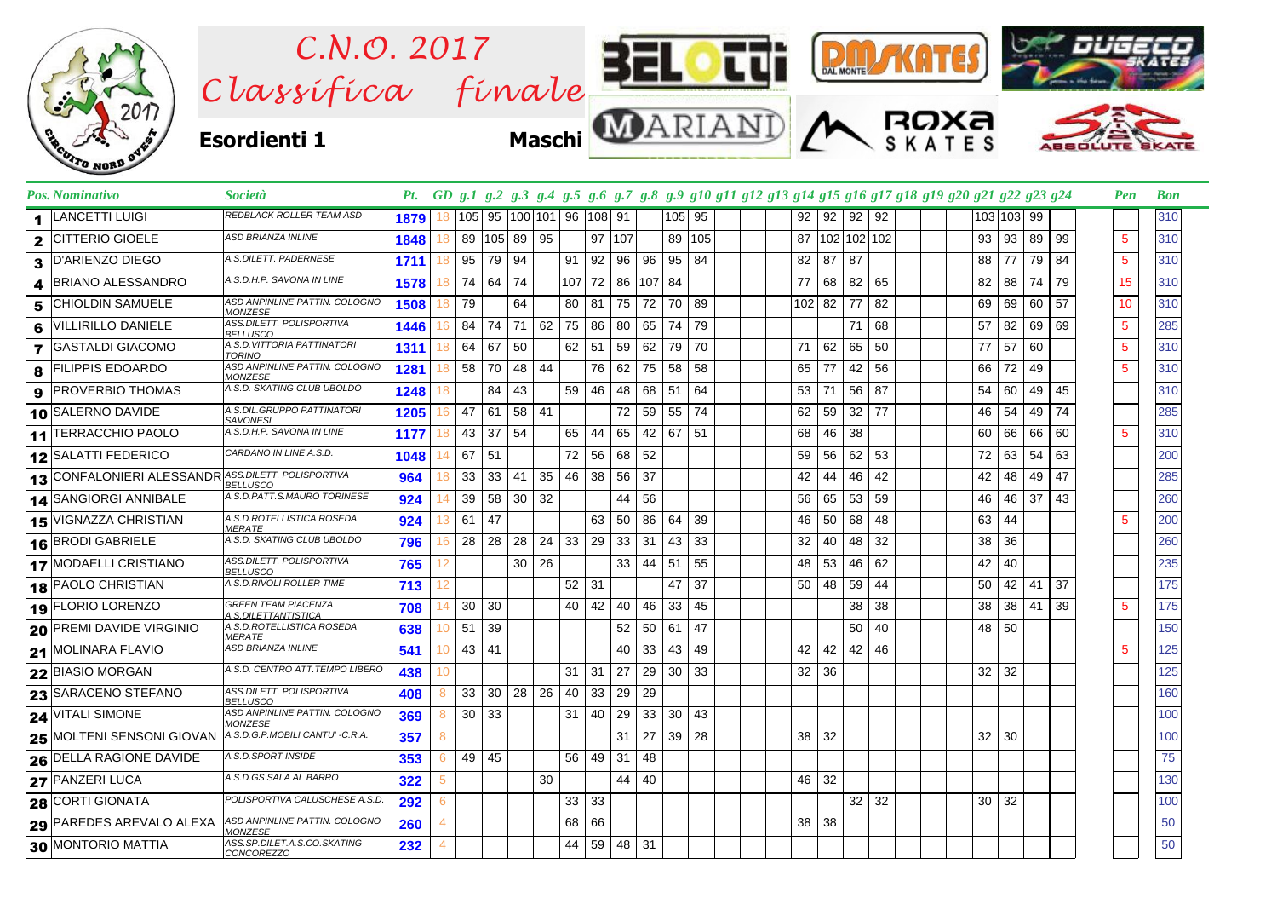

|              | Pos. Nominativo                                     | <i>Società</i>                                    |      |    |              |                      |       |    |       |          |                 |        |        |    |  |              |                 |                 | Pt. GD g.1 g.2 g.3 g.4 g.5 g.6 g.7 g.8 g.9 g10 g11 g12 g13 g14 g15 g16 g17 g18 g19 g20 g21 g22 g23 g24 |  |    |            |    |    | Pen             | <b>Bon</b> |
|--------------|-----------------------------------------------------|---------------------------------------------------|------|----|--------------|----------------------|-------|----|-------|----------|-----------------|--------|--------|----|--|--------------|-----------------|-----------------|--------------------------------------------------------------------------------------------------------|--|----|------------|----|----|-----------------|------------|
| 1.           | <b>LANCETTI LUIGI</b>                               | REDBLACK ROLLER TEAM ASD                          | 1879 | 18 |              | 105  95  100 101  96 |       |    |       | 108 91   |                 |        | 105 95 |    |  |              | $92$ 92 92      |                 | 92                                                                                                     |  |    | 103 103 99 |    |    |                 | 310        |
| $\mathbf{2}$ | <b>CITTERIO GIOELE</b>                              | <b>ASD BRIANZA INLINE</b>                         | 1848 | 18 |              | 89 105 89 95         |       |    |       | $97$ 107 |                 |        | 89 105 |    |  |              | 87 102 102 102  |                 |                                                                                                        |  | 93 | 93         | 89 | 99 | 5               | 310        |
| 3            | <b>D'ARIENZO DIEGO</b>                              | A.S.DILETT. PADERNESE                             | 1711 | 18 | 95           | 79                   | 94    |    | 91    | 92       | 96              | 96     | 95     | 84 |  | 82           | 87 <sup>1</sup> | -87             |                                                                                                        |  | 88 | 77         | 79 | 84 | $5\phantom{.0}$ | 310        |
|              | <b>BRIANO ALESSANDRO</b>                            | A.S.D.H.P. SAVONA IN LINE                         | 1578 | 18 | 74 64        |                      | 74    |    | 107   | 72       |                 | 86 107 | 84     |    |  | 77           | 68              | 82              | 65                                                                                                     |  | 82 | 88         | 74 | 79 | 15              | 310        |
| 5            | <b>CHIOLDIN SAMUELE</b>                             | ASD ANPINLINE PATTIN. COLOGNO<br><b>MONZESE</b>   | 1508 | 18 | 79           |                      | 64    |    | 80    | 81       | 75              | 72     | 70     | 89 |  |              | 102 82 77       |                 | 82                                                                                                     |  | 69 | 69         | 60 | 57 | 10              | 310        |
| 6            | <b>VILLIRILLO DANIELE</b>                           | ASS.DILETT. POLISPORTIVA<br><b>BELLUSCO</b>       | 1446 | 16 |              | 84 74                | 71    | 62 | 75    | 86       | 80              | 65     | 74     | 79 |  |              |                 | 71              | 68                                                                                                     |  | 57 | 82         | 69 | 69 | $5\phantom{.0}$ | 285        |
| 7            | <b>GASTALDI GIACOMO</b>                             | A.S.D.VITTORIA PATTINATORI<br><b>TORINO</b>       | 1311 | 18 | 64 67        |                      | 50    |    | 62    | 51       | 59              | 62     | 79     | 70 |  | 71           | 62              | 65              | 50                                                                                                     |  | 77 | 57         | 60 |    | $5\phantom{.0}$ | 310        |
| 8            | <b>FILIPPIS EDOARDO</b>                             | ASD ANPINLINE PATTIN. COLOGNO<br>MONZESE          | 1281 | 18 | 58 70        |                      | 48    | 44 |       | 76       | 62              | 75     | 58     | 58 |  | 65           | 77              | 42              | 56                                                                                                     |  | 66 | 72         | 49 |    | 5               | 310        |
| 9            | <b>PROVERBIO THOMAS</b>                             | A.S.D. SKATING CLUB UBOLDO                        | 1248 |    |              | 84                   | 43    |    | 59    | 46       | 48              | 68     | 51     | 64 |  | 53           | 71              | 56              | 87                                                                                                     |  | 54 | 60         | 49 | 45 |                 | 310        |
|              | 10 SALERNO DAVIDE                                   | A.S.DIL.GRUPPO PATTINATORI<br><b>SAVONESI</b>     | 1205 | 16 | 47 61        |                      | 58 41 |    |       |          | 72              | 59     | 55     | 74 |  | 62           | 59              | 32              | 77                                                                                                     |  | 46 | 54         | 49 | 74 |                 | 285        |
|              | 11 TERRACCHIO PAOLO                                 | A.S.D.H.P. SAVONA IN LINE                         | 1177 | 18 | 43 37        |                      | 54    |    | 65    | 44       | 65              | 42     | 67     | 51 |  | 68           | 46              | -38             |                                                                                                        |  | 60 | 66         | 66 | 60 | $\sqrt{5}$      | 310        |
|              | 12 SALATTI FEDERICO                                 | CARDANO IN LINE A.S.D.                            | 1048 |    | 67           | 151                  |       |    | 72    | 56       | 68              | 52     |        |    |  | 59           | 56              | 62              | 53                                                                                                     |  | 72 | 63         | 54 | 63 |                 | 200        |
|              | 13 CONFALONIERI ALESSANDR ASS. DILETT. POLISPORTIVA | <b>BELLUSCO</b>                                   | 964  | 18 | $33 \mid 33$ |                      | 41    | 35 | 46    | 38       | 56              | 37     |        |    |  | 42           | 44              | 46              | 42                                                                                                     |  | 42 | 48         | 49 | 47 |                 | 285        |
|              | 14 SANGIORGI ANNIBALE                               | A.S.D.PATT.S.MAURO TORINESE                       | 924  | 14 |              | 39 58                | 30    | 32 |       |          | 44              | 56     |        |    |  | 56           | 65 53           |                 | 59                                                                                                     |  | 46 | 46         | 37 | 43 |                 | 260        |
|              | 15 VIGNAZZA CHRISTIAN                               | A.S.D.ROTELLISTICA ROSEDA<br><b>MERATE</b>        | 924  | 13 | $61 \mid 47$ |                      |       |    |       | 63       | 50              | 86     | 64     | 39 |  | 46           | $50 \mid 68$    |                 | 48                                                                                                     |  | 63 | 44         |    |    | -5              | 200        |
|              | 16 BRODI GABRIELE                                   | A.S.D. SKATING CLUB UBOLDO                        | 796  | 16 |              | 28 28                | 28    | 24 | 33    | 29       | $33 \mid 31$    |        | 43     | 33 |  | 32           | 40              | 48              | 32                                                                                                     |  | 38 | 36         |    |    |                 | 260        |
|              | <b>17 MODAELLI CRISTIANO</b>                        | ASS.DILETT. POLISPORTIVA<br><b>BELLUSCO</b>       | 765  | 12 |              |                      | 30    | 26 |       |          | 33 <sup>1</sup> | 44     | 51     | 55 |  | 48           | 53              | 46              | 62                                                                                                     |  | 42 | 40         |    |    |                 | 235        |
|              | 18 PAOLO CHRISTIAN                                  | A.S.D.RIVOLI ROLLER TIME                          | 713  | 12 |              |                      |       |    | 52 31 |          |                 |        | 47     | 37 |  | 50           | 48              | 59              | 44                                                                                                     |  | 50 | 42         | 41 | 37 |                 | 175        |
|              | 19 FLORIO LORENZO                                   | <b>GREEN TEAM PIACENZA</b><br>A.S.DILETTANTISTICA | 708  | 14 | 30 30        |                      |       |    | 40    | 42       | 40              | 46     | 33     | 45 |  |              |                 | 38              | 38                                                                                                     |  | 38 | 38         | 41 | 39 | 5               | 175        |
|              | 20 PREMI DAVIDE VIRGINIO                            | A.S.D.ROTELLISTICA ROSEDA<br><i>MERATE</i>        | 638  | 10 | $51 \mid 39$ |                      |       |    |       |          | 52              | 50     | 61     | 47 |  |              |                 | 50              | 40                                                                                                     |  | 48 | 50         |    |    |                 | 150        |
|              | 21 MOLINARA FLAVIO                                  | <b>ASD BRIANZA INLINE</b>                         | 541  | 10 | 43 41        |                      |       |    |       |          | 40              | 33     | 43     | 49 |  | 42           | 42 42 46        |                 |                                                                                                        |  |    |            |    |    | $\sqrt{5}$      | 125        |
|              | 22 BIASIO MORGAN                                    | A.S.D. CENTRO ATT.TEMPO LIBERO                    | 438  | 10 |              |                      |       |    | 31    | 31       | 27              | 29     | 30     | 33 |  | 32           | 36              |                 |                                                                                                        |  | 32 | 32         |    |    |                 | 125        |
|              | 23 SARACENO STEFANO                                 | ASS.DILETT. POLISPORTIVA<br><b>BELLUSCO</b>       | 408  | 8  |              | $33 \mid 30 \mid$    | 28 26 |    | 40    | 33       | 29              | 29     |        |    |  |              |                 |                 |                                                                                                        |  |    |            |    |    |                 | 160        |
|              | <b>24 VITALI SIMONE</b>                             | ASD ANPINLINE PATTIN. COLOGNO<br><b>MONZESE</b>   | 369  | 8  | $30 \mid 33$ |                      |       |    | 31    | 40       | 29              | 33     | 30     | 43 |  |              |                 |                 |                                                                                                        |  |    |            |    |    |                 | 100        |
|              | 25 MOLTENI SENSONI GIOVAN                           | A.S.D.G.P.MOBILI CANTU' -C.R.A.                   | 357  | 8  |              |                      |       |    |       |          | 31              | 27     | 39     | 28 |  | $38$ 32      |                 |                 |                                                                                                        |  | 32 | 30         |    |    |                 | 100        |
|              | 26 DELLA RAGIONE DAVIDE                             | A.S.D.SPORT INSIDE                                | 353  | 6  | 49 45        |                      |       |    | 56    | 49       | 31              | 48     |        |    |  |              |                 |                 |                                                                                                        |  |    |            |    |    |                 | 75         |
|              | 27 PANZERI LUCA                                     | A.S.D.GS SALA AL BARRO                            | 322  | 5  |              |                      |       | 30 |       |          | 44 40           |        |        |    |  | 46 32        |                 |                 |                                                                                                        |  |    |            |    |    |                 | 130        |
|              | 28 CORTI GIONATA                                    | POLISPORTIVA CALUSCHESE A.S.D.                    | 292  | 6  |              |                      |       |    | 33    | 33       |                 |        |        |    |  |              |                 | 32 <sup>2</sup> | 32                                                                                                     |  | 30 | 32         |    |    |                 | 100        |
|              | 29 PAREDES AREVALO ALEXA                            | ASD ANPINLINE PATTIN. COLOGNO<br>MONZESE          | 260  | 4  |              |                      |       |    | 68    | 66       |                 |        |        |    |  | $38 \mid 38$ |                 |                 |                                                                                                        |  |    |            |    |    |                 | 50         |
|              | 30 MONTORIO MATTIA                                  | ASS.SP.DILET.A.S.CO.SKATING<br>CONCOREZZO         | 232  |    |              |                      |       |    | 44    | 59       | 48 31           |        |        |    |  |              |                 |                 |                                                                                                        |  |    |            |    |    |                 | 50         |